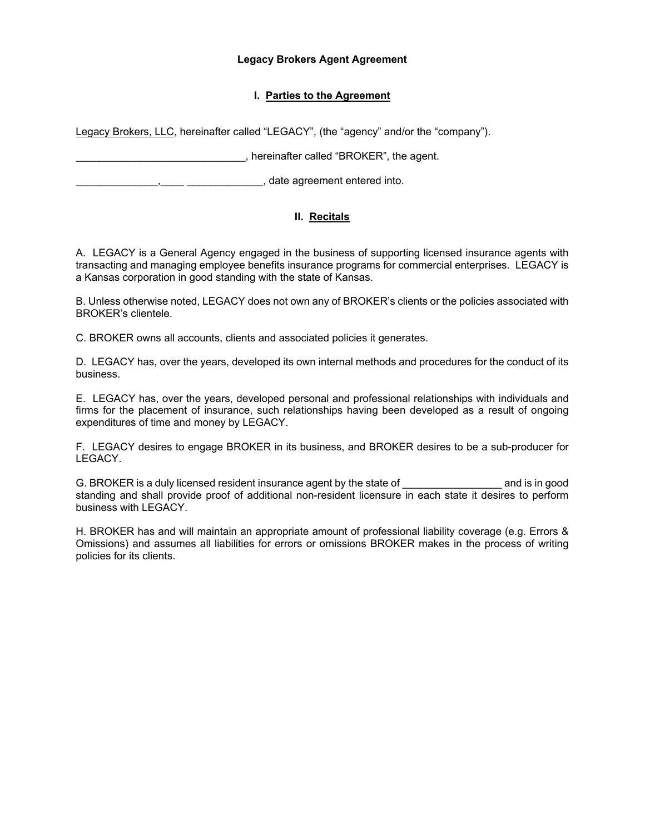#### **Legacy Brokers Agent Agreement**

# **I. Parties to the Agreement**

Legacy Brokers, LLC, hereinafter called "LEGACY", (the "agency" and/or the "company").

\_\_\_\_\_\_\_\_\_\_\_\_\_\_\_\_\_\_\_\_\_\_\_\_\_\_\_\_\_, hereinafter called "BROKER", the agent.

\_\_\_\_\_\_\_\_\_\_\_\_\_\_,\_\_\_\_ \_\_\_\_\_\_\_\_\_\_\_\_\_, date agreement entered into.

# **II. Recitals**

A. LEGACY is a General Agency engaged in the business of supporting licensed insurance agents with transacting and managing employee benefits insurance programs for commercial enterprises. LEGACY is a Kansas corporation in good standing with the state of Kansas.

B. Unless otherwise noted, LEGACY does not own any of BROKER's clients or the policies associated with BROKER's clientele.

C. BROKER owns all accounts, clients and associated policies it generates.

D. LEGACY has, over the years, developed its own internal methods and procedures for the conduct of its business.

E. LEGACY has, over the years, developed personal and professional relationships with individuals and firms for the placement of insurance, such relationships having been developed as a result of ongoing expenditures of time and money by LEGACY.

F. LEGACY desires to engage BROKER in its business, and BROKER desires to be a sub-producer for LEGACY.

G. BROKER is a duly licensed resident insurance agent by the state of Theorem and is in good standing and shall provide proof of additional non-resident licensure in each state it desires to perform business with LEGACY.

H. BROKER has and will maintain an appropriate amount of professional liability coverage (e.g. Errors & Omissions) and assumes all liabilities for errors or omissions BROKER makes in the process of writing policies for its clients.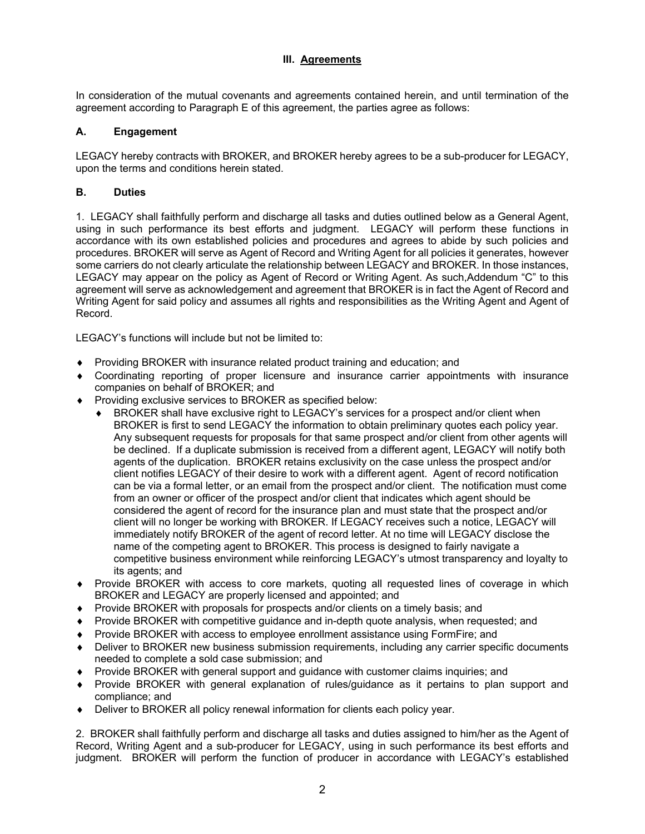# **III. Agreements**

In consideration of the mutual covenants and agreements contained herein, and until termination of the agreement according to Paragraph E of this agreement, the parties agree as follows:

# **A. Engagement**

LEGACY hereby contracts with BROKER, and BROKER hereby agrees to be a sub-producer for LEGACY, upon the terms and conditions herein stated.

# **B. Duties**

1. LEGACY shall faithfully perform and discharge all tasks and duties outlined below as a General Agent, using in such performance its best efforts and judgment. LEGACY will perform these functions in accordance with its own established policies and procedures and agrees to abide by such policies and procedures. BROKER will serve as Agent of Record and Writing Agent for all policies it generates, however some carriers do not clearly articulate the relationship between LEGACY and BROKER. In those instances, LEGACY may appear on the policy as Agent of Record or Writing Agent. As such,Addendum "C" to this agreement will serve as acknowledgement and agreement that BROKER is in fact the Agent of Record and Writing Agent for said policy and assumes all rights and responsibilities as the Writing Agent and Agent of Record.

LEGACY's functions will include but not be limited to:

- Providing BROKER with insurance related product training and education; and
- Coordinating reporting of proper licensure and insurance carrier appointments with insurance companies on behalf of BROKER; and
- ◆ Providing exclusive services to BROKER as specified below:
	- BROKER shall have exclusive right to LEGACY's services for a prospect and/or client when BROKER is first to send LEGACY the information to obtain preliminary quotes each policy year. Any subsequent requests for proposals for that same prospect and/or client from other agents will be declined. If a duplicate submission is received from a different agent, LEGACY will notify both agents of the duplication. BROKER retains exclusivity on the case unless the prospect and/or client notifies LEGACY of their desire to work with a different agent. Agent of record notification can be via a formal letter, or an email from the prospect and/or client. The notification must come from an owner or officer of the prospect and/or client that indicates which agent should be considered the agent of record for the insurance plan and must state that the prospect and/or client will no longer be working with BROKER. If LEGACY receives such a notice, LEGACY will immediately notify BROKER of the agent of record letter. At no time will LEGACY disclose the name of the competing agent to BROKER. This process is designed to fairly navigate a competitive business environment while reinforcing LEGACY's utmost transparency and loyalty to its agents; and
- Provide BROKER with access to core markets, quoting all requested lines of coverage in which BROKER and LEGACY are properly licensed and appointed; and
- Provide BROKER with proposals for prospects and/or clients on a timely basis; and
- Provide BROKER with competitive guidance and in-depth quote analysis, when requested; and
- Provide BROKER with access to employee enrollment assistance using FormFire; and
- Deliver to BROKER new business submission requirements, including any carrier specific documents needed to complete a sold case submission; and
- Provide BROKER with general support and guidance with customer claims inquiries; and
- Provide BROKER with general explanation of rules/guidance as it pertains to plan support and compliance; and
- Deliver to BROKER all policy renewal information for clients each policy year.

2. BROKER shall faithfully perform and discharge all tasks and duties assigned to him/her as the Agent of Record, Writing Agent and a sub-producer for LEGACY, using in such performance its best efforts and judgment. BROKER will perform the function of producer in accordance with LEGACY's established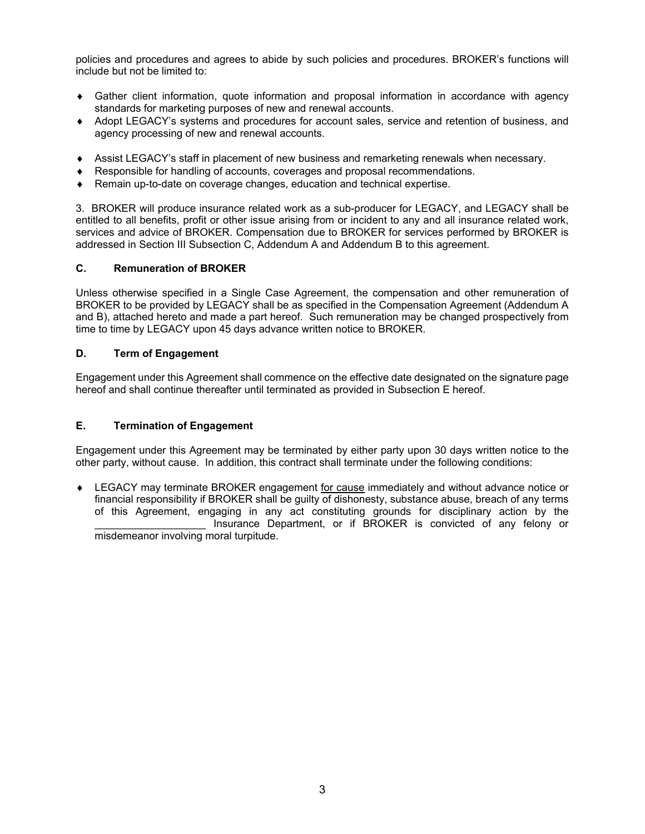policies and procedures and agrees to abide by such policies and procedures. BROKER's functions will include but not be limited to:

- Gather client information, quote information and proposal information in accordance with agency standards for marketing purposes of new and renewal accounts.
- Adopt LEGACY's systems and procedures for account sales, service and retention of business, and agency processing of new and renewal accounts.
- Assist LEGACY's staff in placement of new business and remarketing renewals when necessary.
- Responsible for handling of accounts, coverages and proposal recommendations.
- Remain up-to-date on coverage changes, education and technical expertise.

3. BROKER will produce insurance related work as a sub-producer for LEGACY, and LEGACY shall be entitled to all benefits, profit or other issue arising from or incident to any and all insurance related work, services and advice of BROKER. Compensation due to BROKER for services performed by BROKER is addressed in Section III Subsection C, Addendum A and Addendum B to this agreement.

#### **C. Remuneration of BROKER**

Unless otherwise specified in a Single Case Agreement, the compensation and other remuneration of BROKER to be provided by LEGACY shall be as specified in the Compensation Agreement (Addendum A and B), attached hereto and made a part hereof. Such remuneration may be changed prospectively from time to time by LEGACY upon 45 days advance written notice to BROKER.

## **D. Term of Engagement**

Engagement under this Agreement shall commence on the effective date designated on the signature page hereof and shall continue thereafter until terminated as provided in Subsection E hereof.

#### **E. Termination of Engagement**

Engagement under this Agreement may be terminated by either party upon 30 days written notice to the other party, without cause. In addition, this contract shall terminate under the following conditions:

 LEGACY may terminate BROKER engagement for cause immediately and without advance notice or financial responsibility if BROKER shall be guilty of dishonesty, substance abuse, breach of any terms of this Agreement, engaging in any act constituting grounds for disciplinary action by the Insurance Department, or if BROKER is convicted of any felony or misdemeanor involving moral turpitude.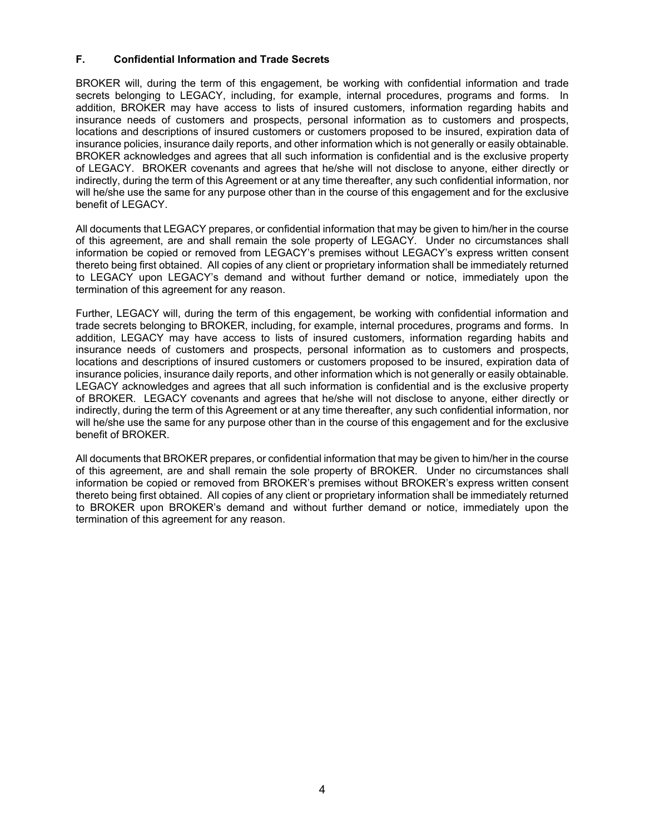### **F. Confidential Information and Trade Secrets**

BROKER will, during the term of this engagement, be working with confidential information and trade secrets belonging to LEGACY, including, for example, internal procedures, programs and forms. In addition, BROKER may have access to lists of insured customers, information regarding habits and insurance needs of customers and prospects, personal information as to customers and prospects, locations and descriptions of insured customers or customers proposed to be insured, expiration data of insurance policies, insurance daily reports, and other information which is not generally or easily obtainable. BROKER acknowledges and agrees that all such information is confidential and is the exclusive property of LEGACY. BROKER covenants and agrees that he/she will not disclose to anyone, either directly or indirectly, during the term of this Agreement or at any time thereafter, any such confidential information, nor will he/she use the same for any purpose other than in the course of this engagement and for the exclusive benefit of LEGACY.

All documents that LEGACY prepares, or confidential information that may be given to him/her in the course of this agreement, are and shall remain the sole property of LEGACY. Under no circumstances shall information be copied or removed from LEGACY's premises without LEGACY's express written consent thereto being first obtained. All copies of any client or proprietary information shall be immediately returned to LEGACY upon LEGACY's demand and without further demand or notice, immediately upon the termination of this agreement for any reason.

Further, LEGACY will, during the term of this engagement, be working with confidential information and trade secrets belonging to BROKER, including, for example, internal procedures, programs and forms. In addition, LEGACY may have access to lists of insured customers, information regarding habits and insurance needs of customers and prospects, personal information as to customers and prospects, locations and descriptions of insured customers or customers proposed to be insured, expiration data of insurance policies, insurance daily reports, and other information which is not generally or easily obtainable. LEGACY acknowledges and agrees that all such information is confidential and is the exclusive property of BROKER. LEGACY covenants and agrees that he/she will not disclose to anyone, either directly or indirectly, during the term of this Agreement or at any time thereafter, any such confidential information, nor will he/she use the same for any purpose other than in the course of this engagement and for the exclusive benefit of BROKER.

All documents that BROKER prepares, or confidential information that may be given to him/her in the course of this agreement, are and shall remain the sole property of BROKER. Under no circumstances shall information be copied or removed from BROKER's premises without BROKER's express written consent thereto being first obtained. All copies of any client or proprietary information shall be immediately returned to BROKER upon BROKER's demand and without further demand or notice, immediately upon the termination of this agreement for any reason.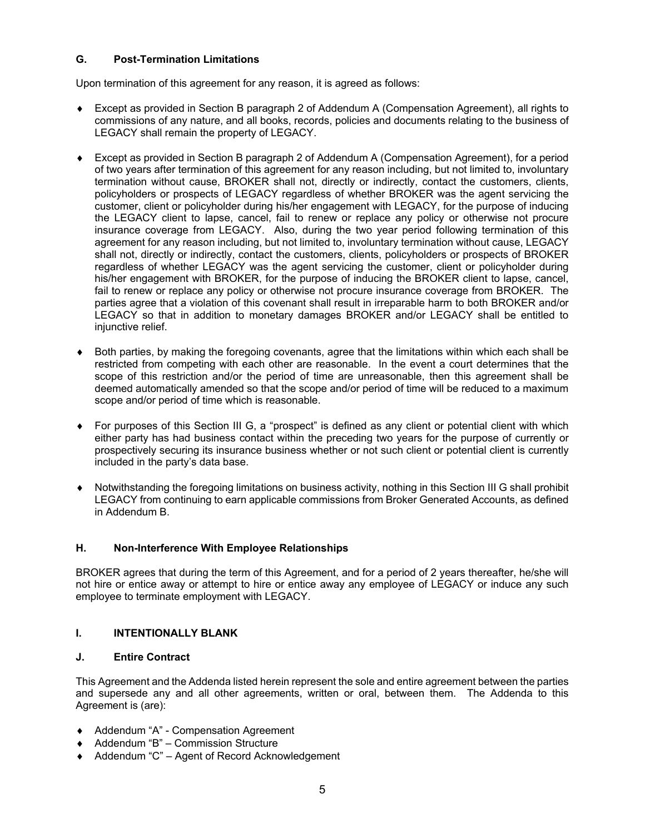## **G. Post-Termination Limitations**

Upon termination of this agreement for any reason, it is agreed as follows:

- Except as provided in Section B paragraph 2 of Addendum A (Compensation Agreement), all rights to commissions of any nature, and all books, records, policies and documents relating to the business of LEGACY shall remain the property of LEGACY.
- Except as provided in Section B paragraph 2 of Addendum A (Compensation Agreement), for a period of two years after termination of this agreement for any reason including, but not limited to, involuntary termination without cause, BROKER shall not, directly or indirectly, contact the customers, clients, policyholders or prospects of LEGACY regardless of whether BROKER was the agent servicing the customer, client or policyholder during his/her engagement with LEGACY, for the purpose of inducing the LEGACY client to lapse, cancel, fail to renew or replace any policy or otherwise not procure insurance coverage from LEGACY. Also, during the two year period following termination of this agreement for any reason including, but not limited to, involuntary termination without cause, LEGACY shall not, directly or indirectly, contact the customers, clients, policyholders or prospects of BROKER regardless of whether LEGACY was the agent servicing the customer, client or policyholder during his/her engagement with BROKER, for the purpose of inducing the BROKER client to lapse, cancel, fail to renew or replace any policy or otherwise not procure insurance coverage from BROKER. The parties agree that a violation of this covenant shall result in irreparable harm to both BROKER and/or LEGACY so that in addition to monetary damages BROKER and/or LEGACY shall be entitled to injunctive relief.
- Both parties, by making the foregoing covenants, agree that the limitations within which each shall be restricted from competing with each other are reasonable. In the event a court determines that the scope of this restriction and/or the period of time are unreasonable, then this agreement shall be deemed automatically amended so that the scope and/or period of time will be reduced to a maximum scope and/or period of time which is reasonable.
- For purposes of this Section III G, a "prospect" is defined as any client or potential client with which either party has had business contact within the preceding two years for the purpose of currently or prospectively securing its insurance business whether or not such client or potential client is currently included in the party's data base.
- Notwithstanding the foregoing limitations on business activity, nothing in this Section III G shall prohibit LEGACY from continuing to earn applicable commissions from Broker Generated Accounts, as defined in Addendum B.

## **H. Non-Interference With Employee Relationships**

BROKER agrees that during the term of this Agreement, and for a period of 2 years thereafter, he/she will not hire or entice away or attempt to hire or entice away any employee of LEGACY or induce any such employee to terminate employment with LEGACY.

## **I. INTENTIONALLY BLANK**

## **J. Entire Contract**

This Agreement and the Addenda listed herein represent the sole and entire agreement between the parties and supersede any and all other agreements, written or oral, between them. The Addenda to this Agreement is (are):

- ◆ Addendum "A" Compensation Agreement
- ◆ Addendum "B" Commission Structure
- ◆ Addendum "C" Agent of Record Acknowledgement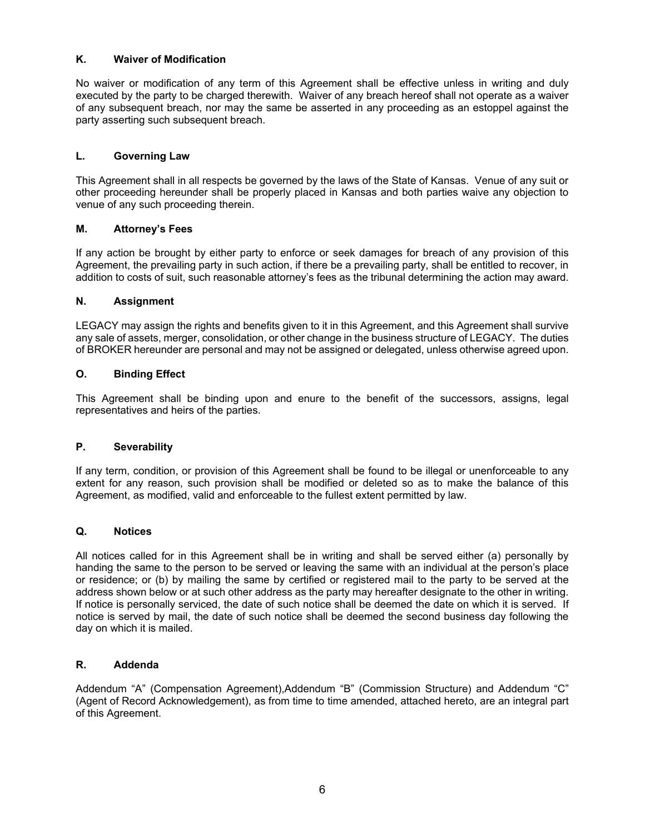### **K. Waiver of Modification**

No waiver or modification of any term of this Agreement shall be effective unless in writing and duly executed by the party to be charged therewith. Waiver of any breach hereof shall not operate as a waiver of any subsequent breach, nor may the same be asserted in any proceeding as an estoppel against the party asserting such subsequent breach.

### **L. Governing Law**

This Agreement shall in all respects be governed by the laws of the State of Kansas. Venue of any suit or other proceeding hereunder shall be properly placed in Kansas and both parties waive any objection to venue of any such proceeding therein.

#### **M. Attorney's Fees**

If any action be brought by either party to enforce or seek damages for breach of any provision of this Agreement, the prevailing party in such action, if there be a prevailing party, shall be entitled to recover, in addition to costs of suit, such reasonable attorney's fees as the tribunal determining the action may award.

#### **N. Assignment**

LEGACY may assign the rights and benefits given to it in this Agreement, and this Agreement shall survive any sale of assets, merger, consolidation, or other change in the business structure of LEGACY. The duties of BROKER hereunder are personal and may not be assigned or delegated, unless otherwise agreed upon.

#### **O. Binding Effect**

This Agreement shall be binding upon and enure to the benefit of the successors, assigns, legal representatives and heirs of the parties.

#### **P. Severability**

If any term, condition, or provision of this Agreement shall be found to be illegal or unenforceable to any extent for any reason, such provision shall be modified or deleted so as to make the balance of this Agreement, as modified, valid and enforceable to the fullest extent permitted by law.

#### **Q. Notices**

All notices called for in this Agreement shall be in writing and shall be served either (a) personally by handing the same to the person to be served or leaving the same with an individual at the person's place or residence; or (b) by mailing the same by certified or registered mail to the party to be served at the address shown below or at such other address as the party may hereafter designate to the other in writing. If notice is personally serviced, the date of such notice shall be deemed the date on which it is served. If notice is served by mail, the date of such notice shall be deemed the second business day following the day on which it is mailed.

#### **R. Addenda**

Addendum "A" (Compensation Agreement),Addendum "B" (Commission Structure) and Addendum "C" (Agent of Record Acknowledgement), as from time to time amended, attached hereto, are an integral part of this Agreement.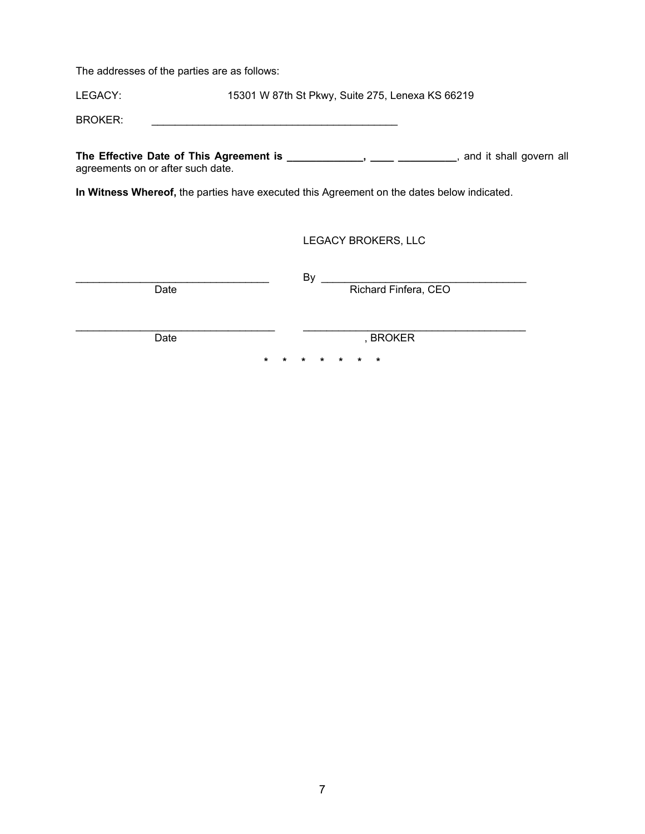The addresses of the parties are as follows:

LEGACY: 15301 W 87th St Pkwy, Suite 275, Lenexa KS 66219

BROKER: \_\_\_\_\_\_\_\_\_\_\_\_\_\_\_\_\_\_\_\_\_\_\_\_\_\_\_\_\_\_\_\_\_\_\_\_\_\_\_\_\_\_

The Effective Date of This Agreement is \_\_\_\_\_\_\_\_\_\_\_\_\_, \_\_\_\_ \_\_\_\_\_\_\_\_, and it shall govern all agreements on or after such date.

**In Witness Whereof,** the parties have executed this Agreement on the dates below indicated.

LEGACY BROKERS, LLC

 $\qquad \qquad \text{By} \qquad \qquad \qquad \qquad \text{By}$ Date **Richard Finfera**, CEO

\_\_\_\_\_\_\_\_\_\_\_\_\_\_\_\_\_\_\_\_\_\_\_\_\_\_\_\_\_\_\_\_\_\_ \_\_\_\_\_\_\_\_\_\_\_\_\_\_\_\_\_\_\_\_\_\_\_\_\_\_\_\_\_\_\_\_\_\_\_\_\_\_

Date , BROKER

**\* \* \* \* \* \* \***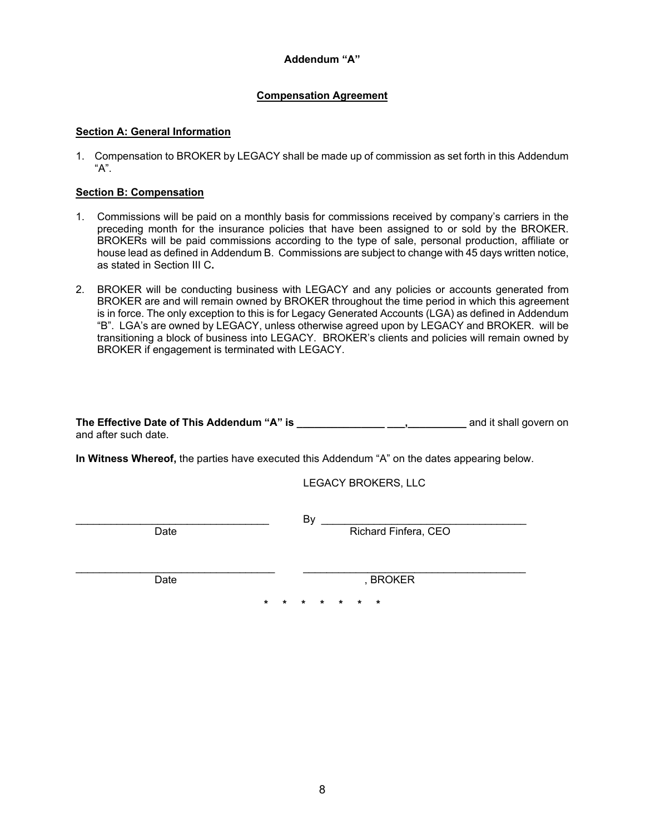## **Addendum "A"**

# **Compensation Agreement**

### **Section A: General Information**

1. Compensation to BROKER by LEGACY shall be made up of commission as set forth in this Addendum "A".

#### **Section B: Compensation**

- 1. Commissions will be paid on a monthly basis for commissions received by company's carriers in the preceding month for the insurance policies that have been assigned to or sold by the BROKER. BROKERs will be paid commissions according to the type of sale, personal production, affiliate or house lead as defined in Addendum B. Commissions are subject to change with 45 days written notice, as stated in Section III C**.**
- 2. BROKER will be conducting business with LEGACY and any policies or accounts generated from BROKER are and will remain owned by BROKER throughout the time period in which this agreement is in force. The only exception to this is for Legacy Generated Accounts (LGA) as defined in Addendum "B". LGA's are owned by LEGACY, unless otherwise agreed upon by LEGACY and BROKER. will be transitioning a block of business into LEGACY. BROKER's clients and policies will remain owned by BROKER if engagement is terminated with LEGACY.

| The Effective Date of This Addendum "A" is |  | and it shall govern on |
|--------------------------------------------|--|------------------------|
| and after such date.                       |  |                        |

**In Witness Whereof,** the parties have executed this Addendum "A" on the dates appearing below.

LEGACY BROKERS, LLC

 $\Box$  By  $\Box$ Date Richard Finfera, CEO

Date , BROKER

**\* \* \* \* \* \* \***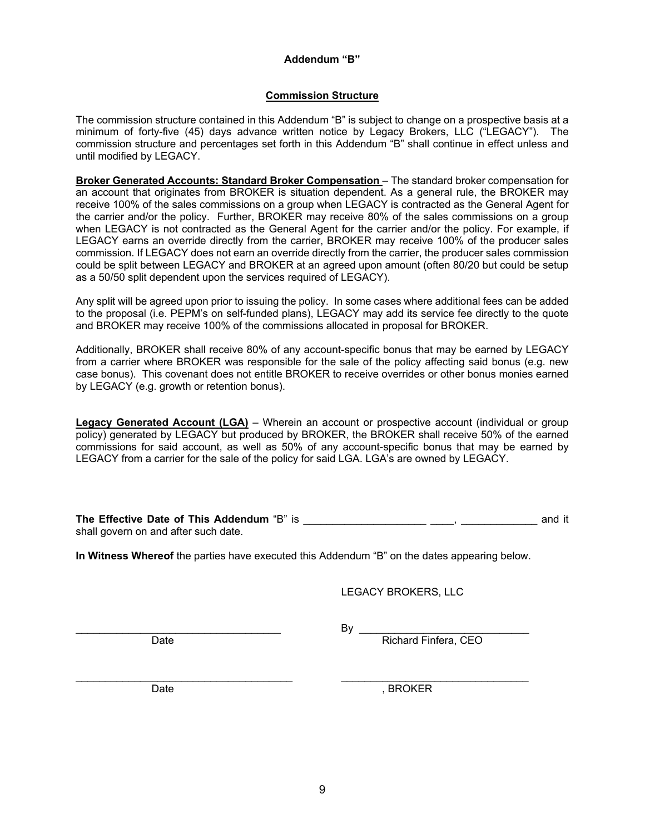### **Addendum "B"**

## **Commission Structure**

The commission structure contained in this Addendum "B" is subject to change on a prospective basis at a minimum of forty-five (45) days advance written notice by Legacy Brokers, LLC ("LEGACY"). The commission structure and percentages set forth in this Addendum "B" shall continue in effect unless and until modified by LEGACY.

**Broker Generated Accounts: Standard Broker Compensation** – The standard broker compensation for an account that originates from BROKER is situation dependent. As a general rule, the BROKER may receive 100% of the sales commissions on a group when LEGACY is contracted as the General Agent for the carrier and/or the policy. Further, BROKER may receive 80% of the sales commissions on a group when LEGACY is not contracted as the General Agent for the carrier and/or the policy. For example, if LEGACY earns an override directly from the carrier, BROKER may receive 100% of the producer sales commission. If LEGACY does not earn an override directly from the carrier, the producer sales commission could be split between LEGACY and BROKER at an agreed upon amount (often 80/20 but could be setup as a 50/50 split dependent upon the services required of LEGACY).

Any split will be agreed upon prior to issuing the policy. In some cases where additional fees can be added to the proposal (i.e. PEPM's on self-funded plans), LEGACY may add its service fee directly to the quote and BROKER may receive 100% of the commissions allocated in proposal for BROKER.

Additionally, BROKER shall receive 80% of any account-specific bonus that may be earned by LEGACY from a carrier where BROKER was responsible for the sale of the policy affecting said bonus (e.g. new case bonus). This covenant does not entitle BROKER to receive overrides or other bonus monies earned by LEGACY (e.g. growth or retention bonus).

**Legacy Generated Account (LGA)** – Wherein an account or prospective account (individual or group policy) generated by LEGACY but produced by BROKER, the BROKER shall receive 50% of the earned commissions for said account, as well as 50% of any account-specific bonus that may be earned by LEGACY from a carrier for the sale of the policy for said LGA. LGA's are owned by LEGACY.

| The Effective Date of This Addendum "B" is |  | and it |  |
|--------------------------------------------|--|--------|--|
| shall govern on and after such date.       |  |        |  |

**In Witness Whereof** the parties have executed this Addendum "B" on the dates appearing below.

LEGACY BROKERS, LLC

 $\mathsf{By}$ 

Date **Richard Finfera, CEO** 

Date , BROKER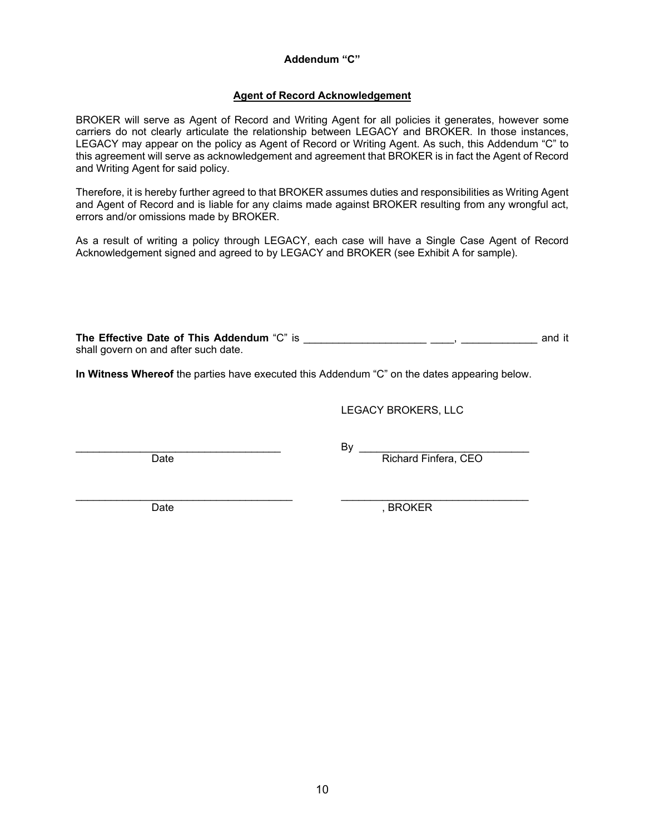### **Addendum "C"**

### **Agent of Record Acknowledgement**

BROKER will serve as Agent of Record and Writing Agent for all policies it generates, however some carriers do not clearly articulate the relationship between LEGACY and BROKER. In those instances, LEGACY may appear on the policy as Agent of Record or Writing Agent. As such, this Addendum "C" to this agreement will serve as acknowledgement and agreement that BROKER is in fact the Agent of Record and Writing Agent for said policy.

Therefore, it is hereby further agreed to that BROKER assumes duties and responsibilities as Writing Agent and Agent of Record and is liable for any claims made against BROKER resulting from any wrongful act, errors and/or omissions made by BROKER.

As a result of writing a policy through LEGACY, each case will have a Single Case Agent of Record Acknowledgement signed and agreed to by LEGACY and BROKER (see Exhibit A for sample).

**The Effective Date of This Addendum** "C" is \_\_\_\_\_\_\_\_\_\_\_\_\_\_\_\_\_\_\_\_\_ \_\_\_\_, \_\_\_\_\_\_\_\_\_\_\_\_\_ and it shall govern on and after such date.

**In Witness Whereof** the parties have executed this Addendum "C" on the dates appearing below.

LEGACY BROKERS, LLC

 $\mathsf{By}$ Date Richard Finfera, CEO

Date , BROKER